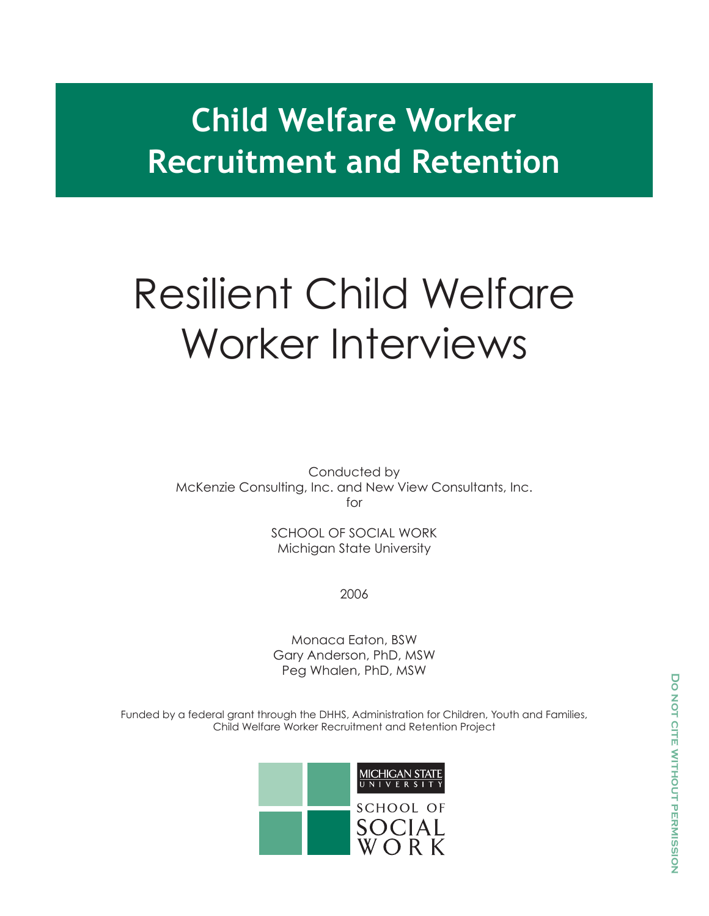# **Child Welfare Worker Recruitment and Retention**

# Resilient Child Welfare Worker Interviews

Conducted by McKenzie Consulting, Inc. and New View Consultants, Inc. for

> SCHOOL OF SOCIAL WORK Michigan State University

> > 2006

Monaca Eaton, BSW Gary Anderson, PhD, MSW Peg Whalen, PhD, MSW

Funded by a federal grant through the DHHS, Administration for Children, Youth and Families, Child Welfare Worker Recruitment and Retention Project

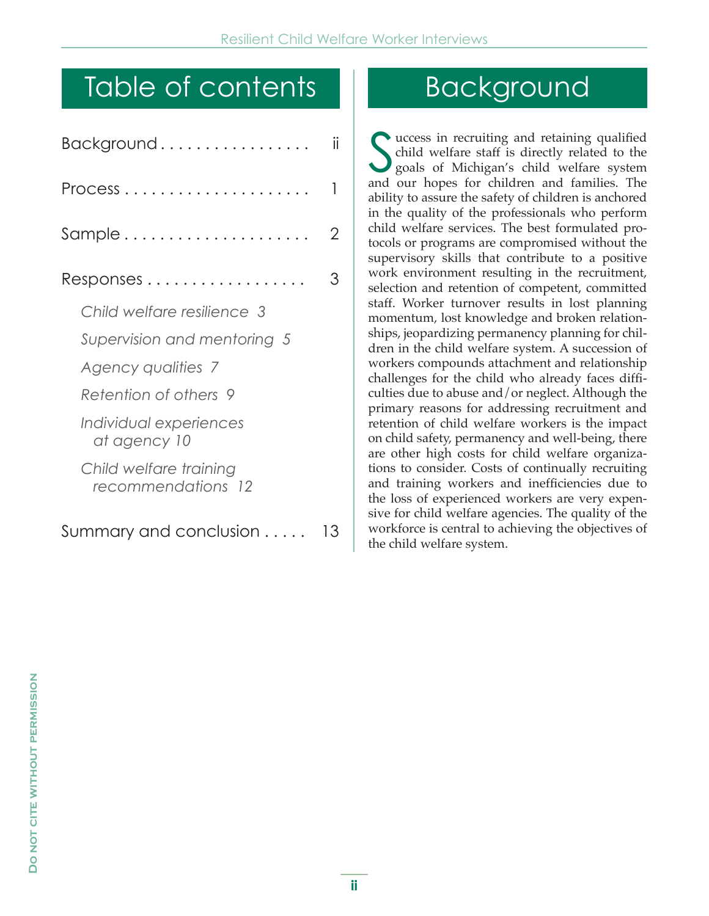# Table of contents

| Background                                          | ii |
|-----------------------------------------------------|----|
| $Process \ldots \ldots \ldots \ldots \ldots \ldots$ | 1  |
| Sample                                              | 2  |
| $Respones \ldots \ldots \ldots \ldots \ldots$       | З  |
| Child welfare resilience 3                          |    |
| Supervision and mentoring 5                         |    |
| Agency qualities 7                                  |    |
| Retention of others 9                               |    |
| Individual experiences<br>at agency 10              |    |
| Child welfare training<br>recommendations 12        |    |
| Summary and conclusion                              | 13 |

# Background

S uccess in recruiting and retaining qualified child welfare staff is directly related to the goals of Michigan's child welfare system and our hopes for children and families. The ability to assure the safety of children is anchored in the quality of the professionals who perform child welfare services. The best formulated protocols or programs are compromised without the supervisory skills that contribute to a positive work environment resulting in the recruitment, selection and retention of competent, committed staff. Worker turnover results in lost planning momentum, lost knowledge and broken relationships, jeopardizing permanency planning for children in the child welfare system. A succession of workers compounds attachment and relationship challenges for the child who already faces difficulties due to abuse and/or neglect. Although the primary reasons for addressing recruitment and retention of child welfare workers is the impact on child safety, permanency and well-being, there are other high costs for child welfare organizations to consider. Costs of continually recruiting and training workers and inefficiencies due to the loss of experienced workers are very expensive for child welfare agencies. The quality of the workforce is central to achieving the objectives of the child welfare system.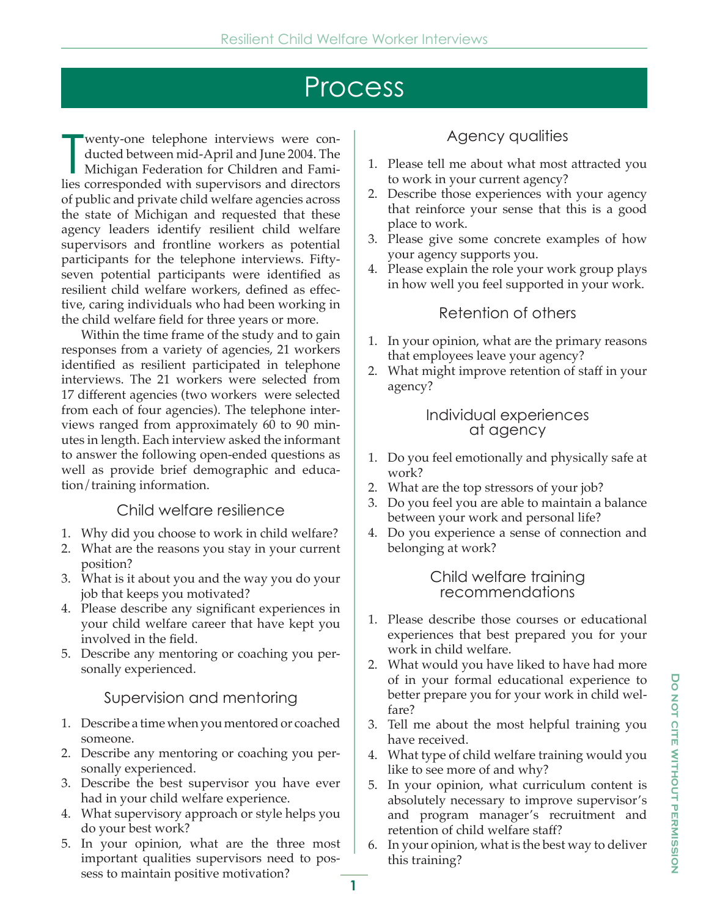# Process

wenty-one telephone interviews were conducted between mid-April and June 2004. The Michigan Federation for Children and Families corresponded with supervisors and directors wenty-one telephone interviews were conducted between mid-April and June 2004. The Michigan Federation for Children and Famiof public and private child welfare agencies across the state of Michigan and requested that these agency leaders identify resilient child welfare supervisors and frontline workers as potential participants for the telephone interviews. Fiftyseven potential participants were identified as resilient child welfare workers, defined as effective, caring individuals who had been working in the child welfare field for three years or more.

 Within the time frame of the study and to gain responses from a variety of agencies, 21 workers identified as resilient participated in telephone interviews. The 21 workers were selected from 17 different agencies (two workers were selected from each of four agencies). The telephone interviews ranged from approximately 60 to 90 minutes in length. Each interview asked the informant to answer the following open-ended questions as well as provide brief demographic and education/training information.

### Child welfare resilience

- 1. Why did you choose to work in child welfare?
- 2. What are the reasons you stay in your current position?
- 3. What is it about you and the way you do your job that keeps you motivated?
- 4. Please describe any significant experiences in your child welfare career that have kept you involved in the field.
- 5. Describe any mentoring or coaching you personally experienced.

### Supervision and mentoring

- 1. Describe a time when you mentored or coached someone.
- 2. Describe any mentoring or coaching you personally experienced.
- 3. Describe the best supervisor you have ever had in your child welfare experience.
- 4. What supervisory approach or style helps you do your best work?
- 5. In your opinion, what are the three most important qualities supervisors need to possess to maintain positive motivation?

## Agency qualities

- 1. Please tell me about what most attracted you to work in your current agency?
- 2. Describe those experiences with your agency that reinforce your sense that this is a good place to work.
- 3. Please give some concrete examples of how your agency supports you.
- 4. Please explain the role your work group plays in how well you feel supported in your work.

## Retention of others

- 1. In your opinion, what are the primary reasons that employees leave your agency?
- 2. What might improve retention of staff in your agency?

#### Individual experiences at agency

- 1. Do you feel emotionally and physically safe at work?
- 2. What are the top stressors of your job?
- 3. Do you feel you are able to maintain a balance between your work and personal life?
- 4. Do you experience a sense of connection and belonging at work?

#### Child welfare training recommendations

- 1. Please describe those courses or educational experiences that best prepared you for your work in child welfare.
- 2. What would you have liked to have had more of in your formal educational experience to better prepare you for your work in child welfare?
- 3. Tell me about the most helpful training you have received.
- 4. What type of child welfare training would you like to see more of and why?
- 5. In your opinion, what curriculum content is absolutely necessary to improve supervisor's and program manager's recruitment and retention of child welfare staff?
- 6. In your opinion, what is the best way to deliver this training?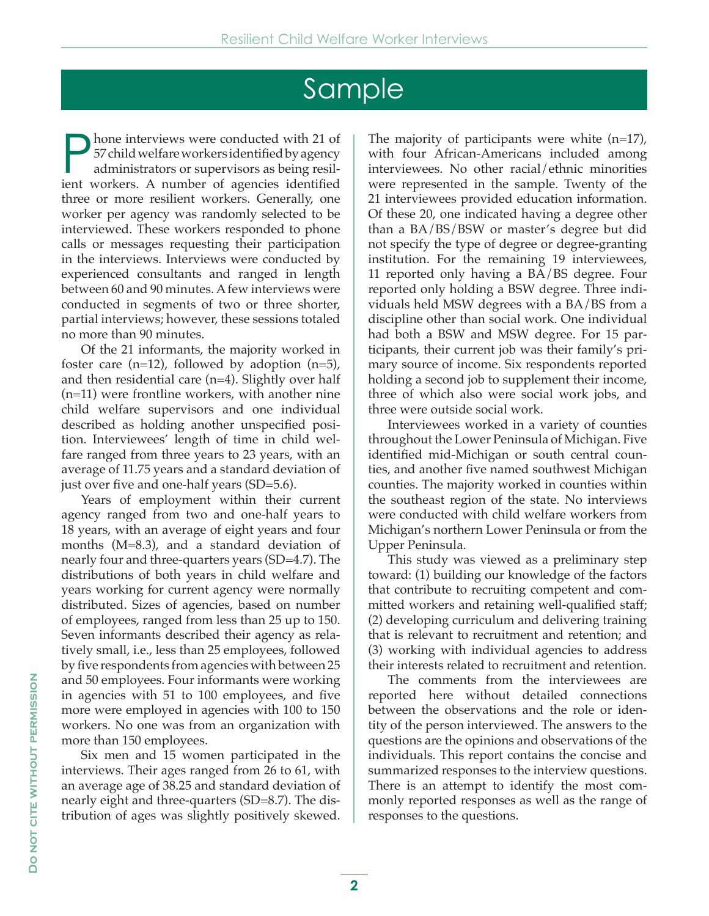# Sample

hone interviews were conducted with 21 of 57 child welfare workers identified by agency administrators or supervisors as being resilient workers. A number of agencies identified three or more resilient workers. Generally, one worker per agency was randomly selected to be interviewed. These workers responded to phone calls or messages requesting their participation in the interviews. Interviews were conducted by experienced consultants and ranged in length between 60 and 90 minutes. A few interviews were conducted in segments of two or three shorter, partial interviews; however, these sessions totaled no more than 90 minutes.

 Of the 21 informants, the majority worked in foster care  $(n=12)$ , followed by adoption  $(n=5)$ , and then residential care (n=4). Slightly over half (n=11) were frontline workers, with another nine child welfare supervisors and one individual described as holding another unspecified position. Interviewees' length of time in child welfare ranged from three years to 23 years, with an average of 11.75 years and a standard deviation of just over five and one-half years (SD=5.6).

 Years of employment within their current agency ranged from two and one-half years to 18 years, with an average of eight years and four months (M=8.3), and a standard deviation of nearly four and three-quarters years (SD=4.7). The distributions of both years in child welfare and years working for current agency were normally distributed. Sizes of agencies, based on number of employees, ranged from less than 25 up to 150. Seven informants described their agency as relatively small, i.e., less than 25 employees, followed by five respondents from agencies with between 25 and 50 employees. Four informants were working in agencies with 51 to 100 employees, and five more were employed in agencies with 100 to 150 workers. No one was from an organization with more than 150 employees.

 Six men and 15 women participated in the interviews. Their ages ranged from 26 to 61, with an average age of 38.25 and standard deviation of nearly eight and three-quarters (SD=8.7). The distribution of ages was slightly positively skewed.

The majority of participants were white (n=17), with four African-Americans included among interviewees. No other racial/ethnic minorities were represented in the sample. Twenty of the 21 interviewees provided education information. Of these 20, one indicated having a degree other than a BA/BS/BSW or master's degree but did not specify the type of degree or degree-granting institution. For the remaining 19 interviewees, 11 reported only having a BA/BS degree. Four reported only holding a BSW degree. Three individuals held MSW degrees with a BA/BS from a discipline other than social work. One individual had both a BSW and MSW degree. For 15 participants, their current job was their family's primary source of income. Six respondents reported holding a second job to supplement their income, three of which also were social work jobs, and three were outside social work.

 Interviewees worked in a variety of counties throughout the Lower Peninsula of Michigan. Five identified mid-Michigan or south central counties, and another five named southwest Michigan counties. The majority worked in counties within the southeast region of the state. No interviews were conducted with child welfare workers from Michigan's northern Lower Peninsula or from the Upper Peninsula.

 This study was viewed as a preliminary step toward: (1) building our knowledge of the factors that contribute to recruiting competent and committed workers and retaining well-qualified staff; (2) developing curriculum and delivering training that is relevant to recruitment and retention; and (3) working with individual agencies to address their interests related to recruitment and retention.

 The comments from the interviewees are reported here without detailed connections between the observations and the role or identity of the person interviewed. The answers to the questions are the opinions and observations of the individuals. This report contains the concise and summarized responses to the interview questions. There is an attempt to identify the most commonly reported responses as well as the range of responses to the questions.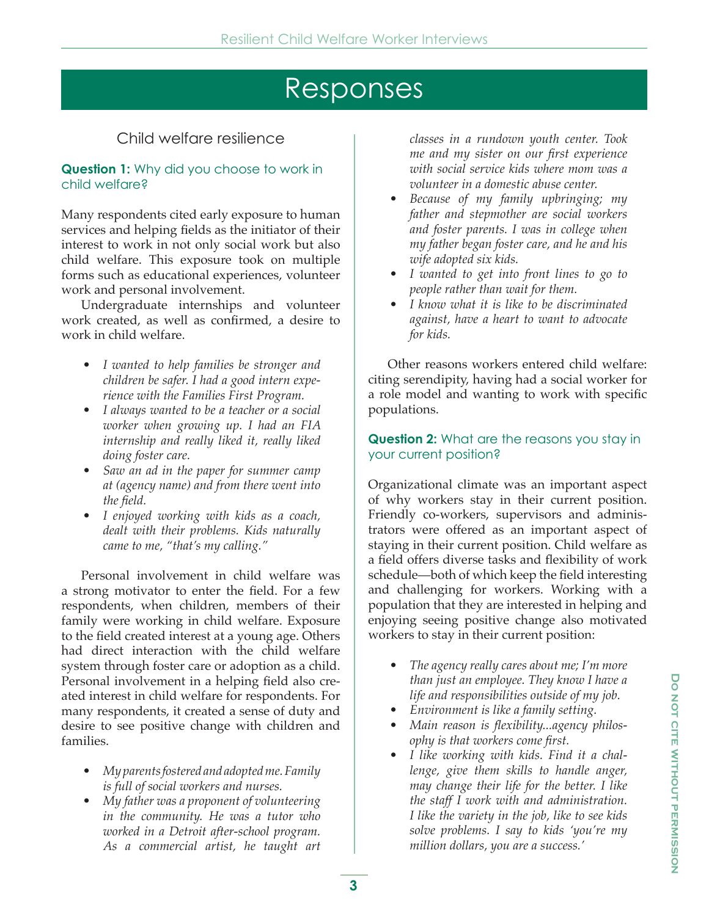# Responses

# Child welfare resilience

#### **Question 1:** Why did you choose to work in child welfare?

Many respondents cited early exposure to human services and helping fields as the initiator of their interest to work in not only social work but also child welfare. This exposure took on multiple forms such as educational experiences, volunteer work and personal involvement.

 Undergraduate internships and volunteer work created, as well as confirmed, a desire to work in child welfare.

- *I wanted to help families be stronger and children be safer. I had a good intern experience with the Families First Program.*
- *I always wanted to be a teacher or a social worker when growing up. I had an FIA internship and really liked it, really liked doing foster care.*
- *Saw an ad in the paper for summer camp at (agency name) and from there went into the field.*
- *I enjoyed working with kids as a coach, dealt with their problems. Kids naturally came to me, "that's my calling."*

 Personal involvement in child welfare was a strong motivator to enter the field. For a few respondents, when children, members of their family were working in child welfare. Exposure to the field created interest at a young age. Others had direct interaction with the child welfare system through foster care or adoption as a child. Personal involvement in a helping field also created interest in child welfare for respondents. For many respondents, it created a sense of duty and desire to see positive change with children and families.

- *My parents fostered and adopted me. Family is full of social workers and nurses.*
- *My father was a proponent of volunteering in the community. He was a tutor who worked in a Detroit after-school program. As a commercial artist, he taught art*

*classes in a rundown youth center. Took me and my sister on our first experience with social service kids where mom was a volunteer in a domestic abuse center.*

- *Because of my family upbringing; my father and stepmother are social workers and foster parents. I was in college when my father began foster care, and he and his wife adopted six kids.*
- *I wanted to get into front lines to go to people rather than wait for them.*
- *I know what it is like to be discriminated against, have a heart to want to advocate for kids.*

 Other reasons workers entered child welfare: citing serendipity, having had a social worker for a role model and wanting to work with specific populations.

#### **Question 2:** What are the reasons you stay in your current position?

Organizational climate was an important aspect of why workers stay in their current position. Friendly co-workers, supervisors and administrators were offered as an important aspect of staying in their current position. Child welfare as a field offers diverse tasks and flexibility of work schedule—both of which keep the field interesting and challenging for workers. Working with a population that they are interested in helping and enjoying seeing positive change also motivated workers to stay in their current position:

- *The agency really cares about me; I'm more than just an employee. They know I have a life and responsibilities outside of my job.*
- *Environment is like a family setting.*
- *Main reason is flexibility...agency philosophy is that workers come first.*
- *I like working with kids. Find it a challenge, give them skills to handle anger, may change their life for the better. I like the staff I work with and administration. I like the variety in the job, like to see kids solve problems. I say to kids 'you're my million dollars, you are a success.'*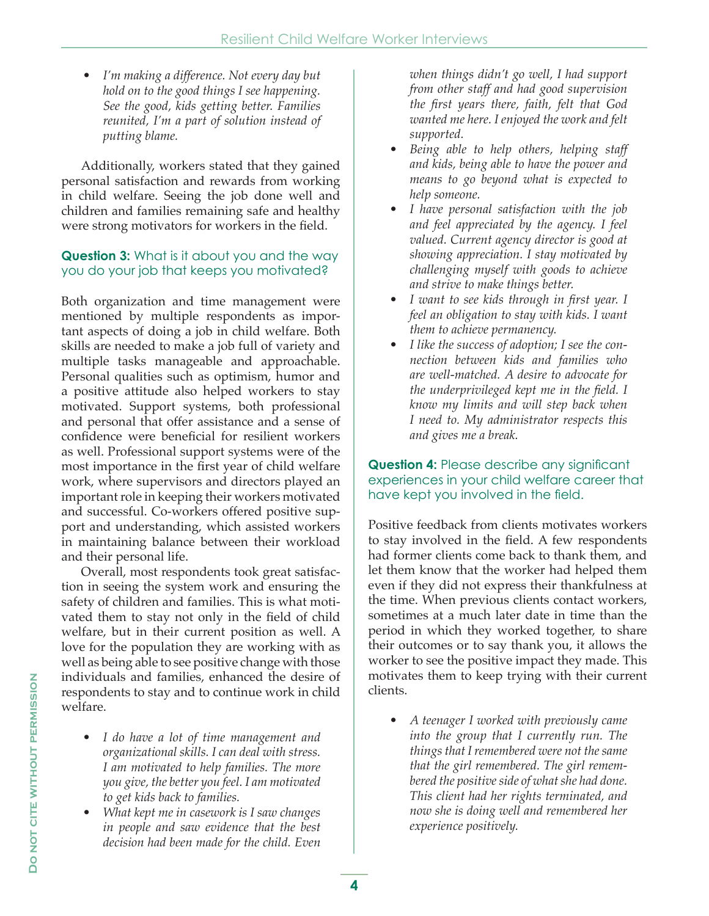*• I'm making a difference. Not every day but hold on to the good things I see happening. See the good, kids getting better. Families reunited, I'm a part of solution instead of putting blame.*

 Additionally, workers stated that they gained personal satisfaction and rewards from working in child welfare. Seeing the job done well and children and families remaining safe and healthy were strong motivators for workers in the field.

#### **Question 3:** What is it about you and the way you do your job that keeps you motivated?

Both organization and time management were mentioned by multiple respondents as important aspects of doing a job in child welfare. Both skills are needed to make a job full of variety and multiple tasks manageable and approachable. Personal qualities such as optimism, humor and a positive attitude also helped workers to stay motivated. Support systems, both professional and personal that offer assistance and a sense of confidence were beneficial for resilient workers as well. Professional support systems were of the most importance in the first year of child welfare work, where supervisors and directors played an important role in keeping their workers motivated and successful. Co-workers offered positive support and understanding, which assisted workers in maintaining balance between their workload and their personal life.

 Overall, most respondents took great satisfaction in seeing the system work and ensuring the safety of children and families. This is what motivated them to stay not only in the field of child welfare, but in their current position as well. A love for the population they are working with as well as being able to see positive change with those individuals and families, enhanced the desire of respondents to stay and to continue work in child welfare.

- *I do have a lot of time management and organizational skills. I can deal with stress. I am motivated to help families. The more you give, the better you feel. I am motivated to get kids back to families.*
- *What kept me in casework is I saw changes in people and saw evidence that the best decision had been made for the child. Even*

*when things didn't go well, I had support from other staff and had good supervision the first years there, faith, felt that God wanted me here. I enjoyed the work and felt supported.*

- *Being able to help others, helping staff and kids, being able to have the power and means to go beyond what is expected to help someone.*
- *I have personal satisfaction with the job and feel appreciated by the agency. I feel valued. Current agency director is good at showing appreciation. I stay motivated by challenging myself with goods to achieve and strive to make things better.*
- *I want to see kids through in first year. I feel an obligation to stay with kids. I want them to achieve permanency.*
- *I like the success of adoption; I see the connection between kids and families who are well-matched. A desire to advocate for the underprivileged kept me in the field. I know my limits and will step back when I need to. My administrator respects this and gives me a break.*

#### **Question 4:** Please describe any significant experiences in your child welfare career that have kept you involved in the field.

Positive feedback from clients motivates workers to stay involved in the field. A few respondents had former clients come back to thank them, and let them know that the worker had helped them even if they did not express their thankfulness at the time. When previous clients contact workers, sometimes at a much later date in time than the period in which they worked together, to share their outcomes or to say thank you, it allows the worker to see the positive impact they made. This motivates them to keep trying with their current clients.

*• A teenager I worked with previously came into the group that I currently run. The things that I remembered were not the same that the girl remembered. The girl remembered the positive side of what she had done. This client had her rights terminated, and now she is doing well and remembered her experience positively.*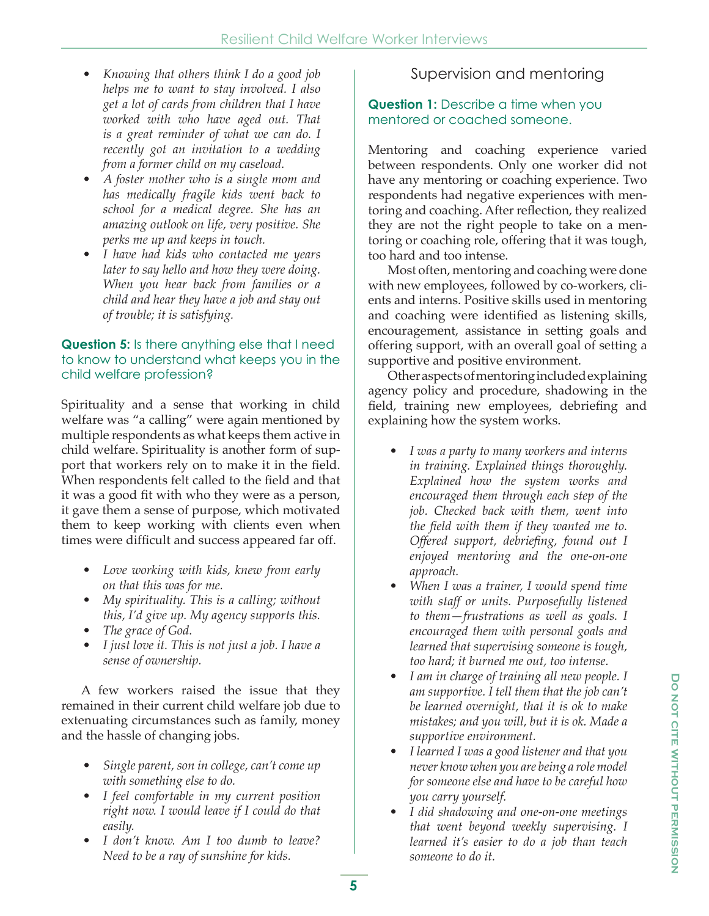- *Knowing that others think I do a good job helps me to want to stay involved. I also get a lot of cards from children that I have worked with who have aged out. That is a great reminder of what we can do. I recently got an invitation to a wedding from a former child on my caseload.*
- *A foster mother who is a single mom and has medically fragile kids went back to school for a medical degree. She has an amazing outlook on life, very positive. She perks me up and keeps in touch.*
- *I have had kids who contacted me years later to say hello and how they were doing. When you hear back from families or a child and hear they have a job and stay out of trouble; it is satisfying.*

#### **Question 5:** Is there anything else that I need to know to understand what keeps you in the child welfare profession?

Spirituality and a sense that working in child welfare was "a calling" were again mentioned by multiple respondents as what keeps them active in child welfare. Spirituality is another form of support that workers rely on to make it in the field. When respondents felt called to the field and that it was a good fit with who they were as a person, it gave them a sense of purpose, which motivated them to keep working with clients even when times were difficult and success appeared far off.

- *Love working with kids, knew from early on that this was for me.*
- *My spirituality. This is a calling; without this, I'd give up. My agency supports this.*
- *The grace of God.*
- *I just love it. This is not just a job. I have a sense of ownership.*

 A few workers raised the issue that they remained in their current child welfare job due to extenuating circumstances such as family, money and the hassle of changing jobs.

- *Single parent, son in college, can't come up with something else to do.*
- *I feel comfortable in my current position right now. I would leave if I could do that easily.*
- *I don't know. Am I too dumb to leave? Need to be a ray of sunshine for kids.*

### Supervision and mentoring

#### **Question 1:** Describe a time when you mentored or coached someone.

Mentoring and coaching experience varied between respondents. Only one worker did not have any mentoring or coaching experience. Two respondents had negative experiences with mentoring and coaching. After reflection, they realized they are not the right people to take on a mentoring or coaching role, offering that it was tough, too hard and too intense.

 Most often, mentoring and coaching were done with new employees, followed by co-workers, clients and interns. Positive skills used in mentoring and coaching were identified as listening skills, encouragement, assistance in setting goals and offering support, with an overall goal of setting a supportive and positive environment.

 Other aspects of mentoring included explaining agency policy and procedure, shadowing in the field, training new employees, debriefing and explaining how the system works.

- *I was a party to many workers and interns in training. Explained things thoroughly. Explained how the system works and encouraged them through each step of the job. Checked back with them, went into the field with them if they wanted me to. Offered support, debriefing, found out I enjoyed mentoring and the one-on-one approach.*
- *When I was a trainer, I would spend time with staff or units. Purposefully listened to them—frustrations as well as goals. I encouraged them with personal goals and learned that supervising someone is tough, too hard; it burned me out, too intense.*
- *I am in charge of training all new people. I am supportive. I tell them that the job can't be learned overnight, that it is ok to make mistakes; and you will, but it is ok. Made a supportive environment.*
- *I learned I was a good listener and that you never know when you are being a role model for someone else and have to be careful how you carry yourself.*
- *I did shadowing and one-on-one meetings that went beyond weekly supervising. I learned it's easier to do a job than teach someone to do it.*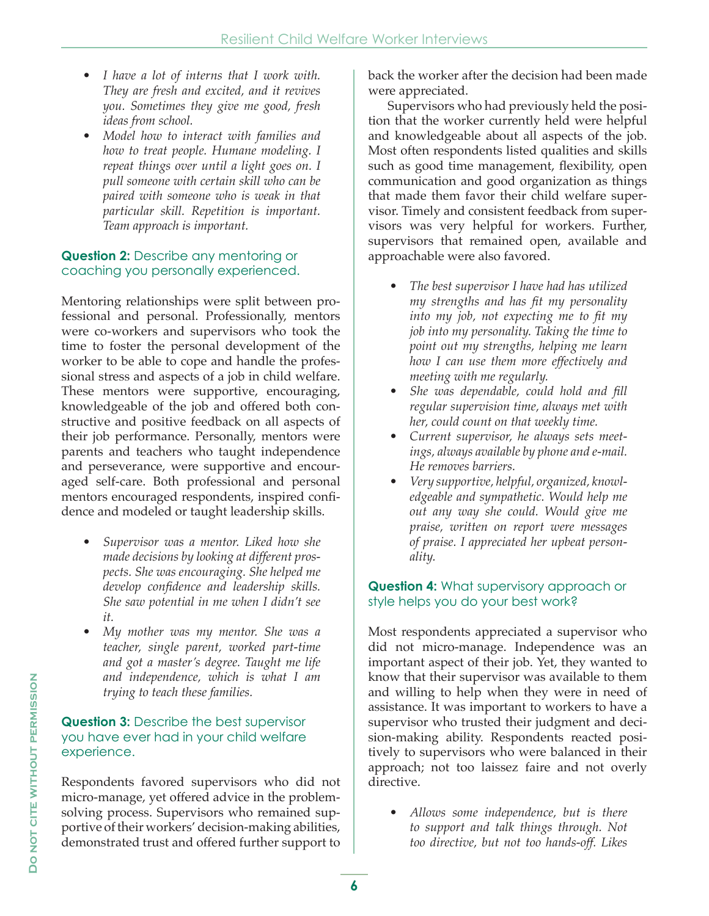- *I have a lot of interns that I work with. They are fresh and excited, and it revives you. Sometimes they give me good, fresh ideas from school.*
- *Model how to interact with families and how to treat people. Humane modeling. I repeat things over until a light goes on. I pull someone with certain skill who can be paired with someone who is weak in that particular skill. Repetition is important. Team approach is important.*

#### **Question 2:** Describe any mentoring or coaching you personally experienced.

Mentoring relationships were split between professional and personal. Professionally, mentors were co-workers and supervisors who took the time to foster the personal development of the worker to be able to cope and handle the professional stress and aspects of a job in child welfare. These mentors were supportive, encouraging, knowledgeable of the job and offered both constructive and positive feedback on all aspects of their job performance. Personally, mentors were parents and teachers who taught independence and perseverance, were supportive and encouraged self-care. Both professional and personal mentors encouraged respondents, inspired confidence and modeled or taught leadership skills.

- *Supervisor was a mentor. Liked how she made decisions by looking at different prospects. She was encouraging. She helped me develop confidence and leadership skills. She saw potential in me when I didn't see it.*
- *My mother was my mentor. She was a teacher, single parent, worked part-time and got a master's degree. Taught me life and independence, which is what I am trying to teach these families.*

#### **Question 3:** Describe the best supervisor you have ever had in your child welfare experience.

Respondents favored supervisors who did not micro-manage, yet offered advice in the problemsolving process. Supervisors who remained supportive of their workers' decision-making abilities, demonstrated trust and offered further support to

back the worker after the decision had been made were appreciated.

 Supervisors who had previously held the position that the worker currently held were helpful and knowledgeable about all aspects of the job. Most often respondents listed qualities and skills such as good time management, flexibility, open communication and good organization as things that made them favor their child welfare supervisor. Timely and consistent feedback from supervisors was very helpful for workers. Further, supervisors that remained open, available and approachable were also favored.

- *The best supervisor I have had has utilized my strengths and has fit my personality into my job, not expecting me to fit my job into my personality. Taking the time to point out my strengths, helping me learn how I can use them more effectively and meeting with me regularly.*
- *She was dependable, could hold and fill regular supervision time, always met with her, could count on that weekly time.*
- *Current supervisor, he always sets meetings, always available by phone and e-mail. He removes barriers.*
- *Very supportive, helpful, organized, knowledgeable and sympathetic. Would help me out any way she could. Would give me praise, written on report were messages of praise. I appreciated her upbeat personality.*

#### **Question 4:** What supervisory approach or style helps you do your best work?

Most respondents appreciated a supervisor who did not micro-manage. Independence was an important aspect of their job. Yet, they wanted to know that their supervisor was available to them and willing to help when they were in need of assistance. It was important to workers to have a supervisor who trusted their judgment and decision-making ability. Respondents reacted positively to supervisors who were balanced in their approach; not too laissez faire and not overly directive.

*• Allows some independence, but is there to support and talk things through. Not too directive, but not too hands-off. Likes*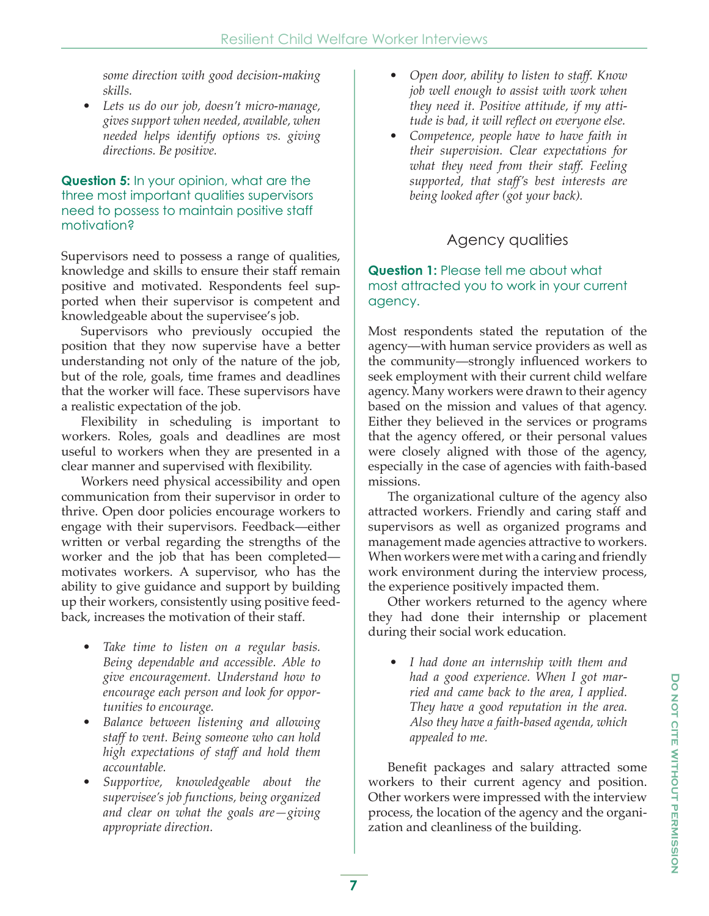*some direction with good decision-making skills.*

*• Lets us do our job, doesn't micro-manage, gives support when needed, available, when needed helps identify options vs. giving directions. Be positive.*

#### **Question 5:** In your opinion, what are the three most important qualities supervisors need to possess to maintain positive staff motivation?

Supervisors need to possess a range of qualities, knowledge and skills to ensure their staff remain positive and motivated. Respondents feel supported when their supervisor is competent and knowledgeable about the supervisee's job.

 Supervisors who previously occupied the position that they now supervise have a better understanding not only of the nature of the job, but of the role, goals, time frames and deadlines that the worker will face. These supervisors have a realistic expectation of the job.

 Flexibility in scheduling is important to workers. Roles, goals and deadlines are most useful to workers when they are presented in a clear manner and supervised with flexibility.

 Workers need physical accessibility and open communication from their supervisor in order to thrive. Open door policies encourage workers to engage with their supervisors. Feedback—either written or verbal regarding the strengths of the worker and the job that has been completed motivates workers. A supervisor, who has the ability to give guidance and support by building up their workers, consistently using positive feedback, increases the motivation of their staff.

- *Take time to listen on a regular basis. Being dependable and accessible. Able to give encouragement. Understand how to encourage each person and look for opportunities to encourage.*
- *Balance between listening and allowing staff to vent. Being someone who can hold high expectations of staff and hold them accountable.*
- *Supportive, knowledgeable about the supervisee's job functions, being organized and clear on what the goals are—giving appropriate direction.*
- *Open door, ability to listen to staff. Know job well enough to assist with work when they need it. Positive attitude, if my attitude is bad, it will reflect on everyone else.*
- *Competence, people have to have faith in their supervision. Clear expectations for what they need from their staff. Feeling supported, that staff's best interests are being looked after (got your back).*

# Agency qualities

#### **Question 1:** Please tell me about what most attracted you to work in your current agency.

Most respondents stated the reputation of the agency—with human service providers as well as the community—strongly influenced workers to seek employment with their current child welfare agency. Many workers were drawn to their agency based on the mission and values of that agency. Either they believed in the services or programs that the agency offered, or their personal values were closely aligned with those of the agency, especially in the case of agencies with faith-based missions.

 The organizational culture of the agency also attracted workers. Friendly and caring staff and supervisors as well as organized programs and management made agencies attractive to workers. When workers were met with a caring and friendly work environment during the interview process, the experience positively impacted them.

 Other workers returned to the agency where they had done their internship or placement during their social work education.

*• I had done an internship with them and had a good experience. When I got married and came back to the area, I applied. They have a good reputation in the area. Also they have a faith-based agenda, which appealed to me.*

 Benefit packages and salary attracted some workers to their current agency and position. Other workers were impressed with the interview process, the location of the agency and the organization and cleanliness of the building.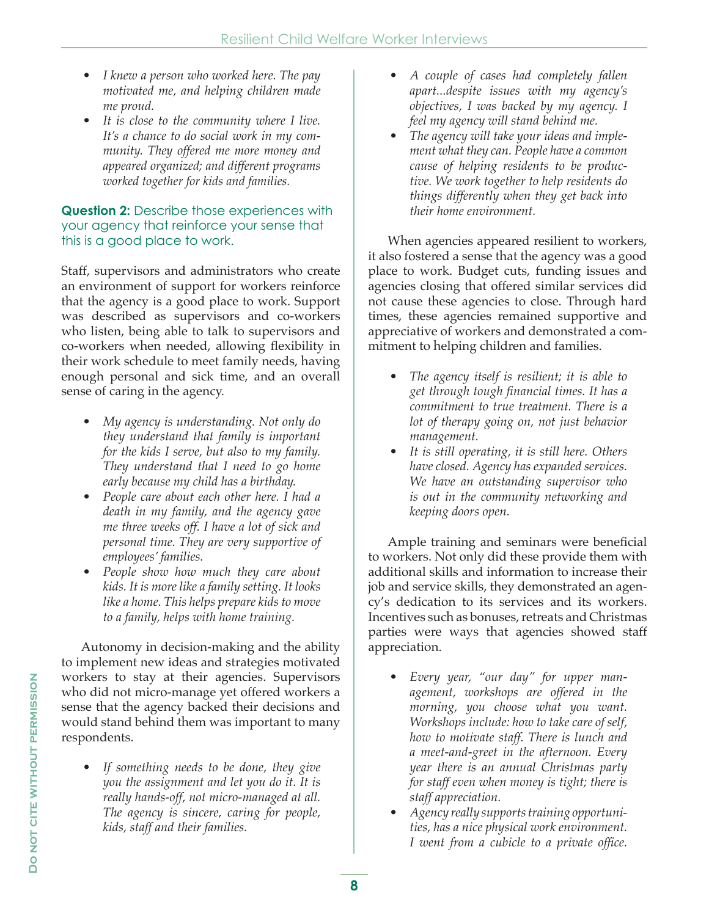- *I knew a person who worked here. The pay motivated me, and helping children made me proud.*
- *It is close to the community where I live. It's a chance to do social work in my community. They offered me more money and appeared organized; and different programs worked together for kids and families.*

#### **Question 2:** Describe those experiences with your agency that reinforce your sense that this is a good place to work.

Staff, supervisors and administrators who create an environment of support for workers reinforce that the agency is a good place to work. Support was described as supervisors and co-workers who listen, being able to talk to supervisors and co-workers when needed, allowing flexibility in their work schedule to meet family needs, having enough personal and sick time, and an overall sense of caring in the agency.

- *My agency is understanding. Not only do they understand that family is important for the kids I serve, but also to my family. They understand that I need to go home early because my child has a birthday.*
- *People care about each other here. I had a death in my family, and the agency gave me three weeks off. I have a lot of sick and personal time. They are very supportive of employees' families.*
- *People show how much they care about kids. It is more like a family setting. It looks like a home. This helps prepare kids to move to a family, helps with home training.*

 Autonomy in decision-making and the ability to implement new ideas and strategies motivated workers to stay at their agencies. Supervisors who did not micro-manage yet offered workers a sense that the agency backed their decisions and would stand behind them was important to many respondents.

*• If something needs to be done, they give you the assignment and let you do it. It is really hands-off, not micro-managed at all. The agency is sincere, caring for people, kids, staff and their families.*

- *A couple of cases had completely fallen apart...despite issues with my agency's objectives, I was backed by my agency. I feel my agency will stand behind me.*
- *The agency will take your ideas and implement what they can. People have a common cause of helping residents to be productive. We work together to help residents do things differently when they get back into their home environment.*

 When agencies appeared resilient to workers, it also fostered a sense that the agency was a good place to work. Budget cuts, funding issues and agencies closing that offered similar services did not cause these agencies to close. Through hard times, these agencies remained supportive and appreciative of workers and demonstrated a commitment to helping children and families.

- *The agency itself is resilient; it is able to get through tough financial times. It has a commitment to true treatment. There is a lot of therapy going on, not just behavior management.*
- *It is still operating, it is still here. Others have closed. Agency has expanded services. We have an outstanding supervisor who is out in the community networking and keeping doors open.*

 Ample training and seminars were beneficial to workers. Not only did these provide them with additional skills and information to increase their job and service skills, they demonstrated an agency's dedication to its services and its workers. Incentives such as bonuses, retreats and Christmas parties were ways that agencies showed staff appreciation.

- *Every year, "our day" for upper management, workshops are offered in the morning, you choose what you want. Workshops include: how to take care of self, how to motivate staff. There is lunch and a meet-and-greet in the afternoon. Every year there is an annual Christmas party for staff even when money is tight; there is staff appreciation.*
- *Agency really supports training opportunities, has a nice physical work environment. I went from a cubicle to a private office.*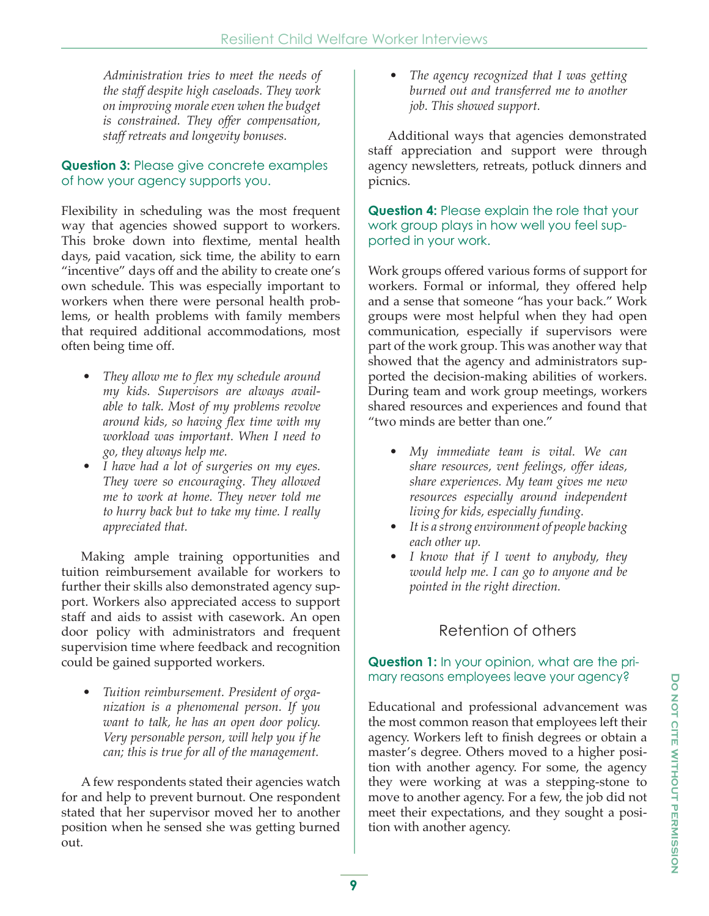*Administration tries to meet the needs of the staff despite high caseloads. They work on improving morale even when the budget is constrained. They offer compensation, staff retreats and longevity bonuses.*

#### **Question 3:** Please give concrete examples of how your agency supports you.

Flexibility in scheduling was the most frequent way that agencies showed support to workers. This broke down into flextime, mental health days, paid vacation, sick time, the ability to earn "incentive" days off and the ability to create one's own schedule. This was especially important to workers when there were personal health problems, or health problems with family members that required additional accommodations, most often being time off.

- *They allow me to flex my schedule around my kids. Supervisors are always available to talk. Most of my problems revolve around kids, so having flex time with my workload was important. When I need to go, they always help me.*
- *I have had a lot of surgeries on my eyes. They were so encouraging. They allowed me to work at home. They never told me to hurry back but to take my time. I really appreciated that.*

 Making ample training opportunities and tuition reimbursement available for workers to further their skills also demonstrated agency support. Workers also appreciated access to support staff and aids to assist with casework. An open door policy with administrators and frequent supervision time where feedback and recognition could be gained supported workers.

*• Tuition reimbursement. President of organization is a phenomenal person. If you want to talk, he has an open door policy. Very personable person, will help you if he can; this is true for all of the management.*

 A few respondents stated their agencies watch for and help to prevent burnout. One respondent stated that her supervisor moved her to another position when he sensed she was getting burned out.

*• The agency recognized that I was getting burned out and transferred me to another job. This showed support.*

 Additional ways that agencies demonstrated staff appreciation and support were through agency newsletters, retreats, potluck dinners and picnics.

**Question 4:** Please explain the role that your work group plays in how well you feel supported in your work.

Work groups offered various forms of support for workers. Formal or informal, they offered help and a sense that someone "has your back." Work groups were most helpful when they had open communication, especially if supervisors were part of the work group. This was another way that showed that the agency and administrators supported the decision-making abilities of workers. During team and work group meetings, workers shared resources and experiences and found that "two minds are better than one."

- *My immediate team is vital. We can share resources, vent feelings, offer ideas, share experiences. My team gives me new resources especially around independent living for kids, especially funding.*
- *It is a strong environment of people backing each other up.*
- *I know that if I went to anybody, they would help me. I can go to anyone and be pointed in the right direction.*

## Retention of others

#### **Question 1:** In your opinion, what are the primary reasons employees leave your agency?

Educational and professional advancement was the most common reason that employees left their agency. Workers left to finish degrees or obtain a master's degree. Others moved to a higher position with another agency. For some, the agency they were working at was a stepping-stone to move to another agency. For a few, the job did not meet their expectations, and they sought a position with another agency.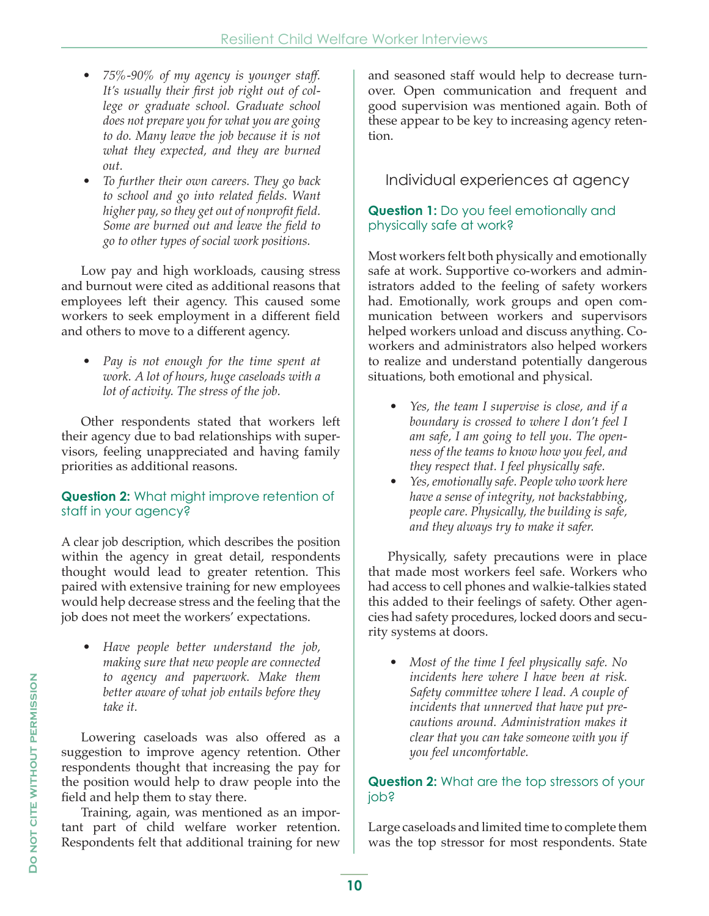- *75%-90% of my agency is younger staff. It's usually their first job right out of college or graduate school. Graduate school does not prepare you for what you are going to do. Many leave the job because it is not what they expected, and they are burned out.*
- *To further their own careers. They go back to school and go into related fields. Want higher pay, so they get out of nonprofit field. Some are burned out and leave the field to go to other types of social work positions.*

 Low pay and high workloads, causing stress and burnout were cited as additional reasons that employees left their agency. This caused some workers to seek employment in a different field and others to move to a different agency.

*• Pay is not enough for the time spent at work. A lot of hours, huge caseloads with a lot of activity. The stress of the job.*

 Other respondents stated that workers left their agency due to bad relationships with supervisors, feeling unappreciated and having family priorities as additional reasons.

#### **Question 2:** What might improve retention of staff in your agency?

A clear job description, which describes the position within the agency in great detail, respondents thought would lead to greater retention. This paired with extensive training for new employees would help decrease stress and the feeling that the job does not meet the workers' expectations.

*• Have people better understand the job, making sure that new people are connected to agency and paperwork. Make them better aware of what job entails before they take it.*

 Lowering caseloads was also offered as a suggestion to improve agency retention. Other respondents thought that increasing the pay for the position would help to draw people into the field and help them to stay there.

 Training, again, was mentioned as an important part of child welfare worker retention. Respondents felt that additional training for new and seasoned staff would help to decrease turnover. Open communication and frequent and good supervision was mentioned again. Both of these appear to be key to increasing agency retention.

### Individual experiences at agency

#### **Question 1:** Do you feel emotionally and physically safe at work?

Most workers felt both physically and emotionally safe at work. Supportive co-workers and administrators added to the feeling of safety workers had. Emotionally, work groups and open communication between workers and supervisors helped workers unload and discuss anything. Coworkers and administrators also helped workers to realize and understand potentially dangerous situations, both emotional and physical.

- *Yes, the team I supervise is close, and if a boundary is crossed to where I don't feel I am safe, I am going to tell you. The openness of the teams to know how you feel, and they respect that. I feel physically safe.*
- *Yes, emotionally safe. People who work here have a sense of integrity, not backstabbing, people care. Physically, the building is safe, and they always try to make it safer.*

 Physically, safety precautions were in place that made most workers feel safe. Workers who had access to cell phones and walkie-talkies stated this added to their feelings of safety. Other agencies had safety procedures, locked doors and security systems at doors.

*• Most of the time I feel physically safe. No incidents here where I have been at risk. Safety committee where I lead. A couple of incidents that unnerved that have put precautions around. Administration makes it clear that you can take someone with you if you feel uncomfortable.*

#### **Question 2:** What are the top stressors of your job?

Large caseloads and limited time to complete them was the top stressor for most respondents. State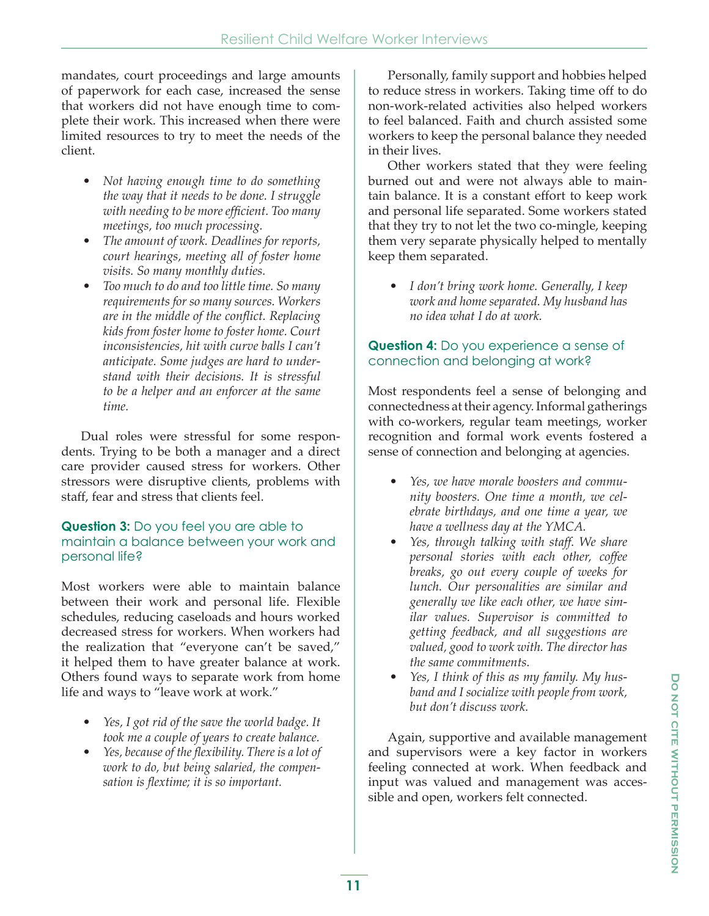mandates, court proceedings and large amounts of paperwork for each case, increased the sense that workers did not have enough time to complete their work. This increased when there were limited resources to try to meet the needs of the client.

- *Not having enough time to do something the way that it needs to be done. I struggle with needing to be more efficient. Too many meetings, too much processing.*
- *The amount of work. Deadlines for reports, court hearings, meeting all of foster home visits. So many monthly duties.*
- *Too much to do and too little time. So many requirements for so many sources. Workers are in the middle of the conflict. Replacing kids from foster home to foster home. Court inconsistencies, hit with curve balls I can't anticipate. Some judges are hard to understand with their decisions. It is stressful to be a helper and an enforcer at the same time.*

 Dual roles were stressful for some respondents. Trying to be both a manager and a direct care provider caused stress for workers. Other stressors were disruptive clients, problems with staff, fear and stress that clients feel.

#### **Question 3:** Do you feel you are able to maintain a balance between your work and personal life?

Most workers were able to maintain balance between their work and personal life. Flexible schedules, reducing caseloads and hours worked decreased stress for workers. When workers had the realization that "everyone can't be saved," it helped them to have greater balance at work. Others found ways to separate work from home life and ways to "leave work at work."

- *Yes, I got rid of the save the world badge. It took me a couple of years to create balance.*
- *Yes, because of the flexibility. There is a lot of work to do, but being salaried, the compensation is flextime; it is so important.*

 Personally, family support and hobbies helped to reduce stress in workers. Taking time off to do non-work-related activities also helped workers to feel balanced. Faith and church assisted some workers to keep the personal balance they needed in their lives.

 Other workers stated that they were feeling burned out and were not always able to maintain balance. It is a constant effort to keep work and personal life separated. Some workers stated that they try to not let the two co-mingle, keeping them very separate physically helped to mentally keep them separated.

*• I don't bring work home. Generally, I keep work and home separated. My husband has no idea what I do at work.*

#### **Question 4:** Do you experience a sense of connection and belonging at work?

Most respondents feel a sense of belonging and connectedness at their agency. Informal gatherings with co-workers, regular team meetings, worker recognition and formal work events fostered a sense of connection and belonging at agencies.

- *Yes, we have morale boosters and community boosters. One time a month, we celebrate birthdays, and one time a year, we have a wellness day at the YMCA.*
- *Yes, through talking with staff. We share personal stories with each other, coffee breaks, go out every couple of weeks for lunch. Our personalities are similar and generally we like each other, we have similar values. Supervisor is committed to getting feedback, and all suggestions are valued, good to work with. The director has the same commitments.*
- *Yes, I think of this as my family. My husband and I socialize with people from work, but don't discuss work.*

 Again, supportive and available management and supervisors were a key factor in workers feeling connected at work. When feedback and input was valued and management was accessible and open, workers felt connected.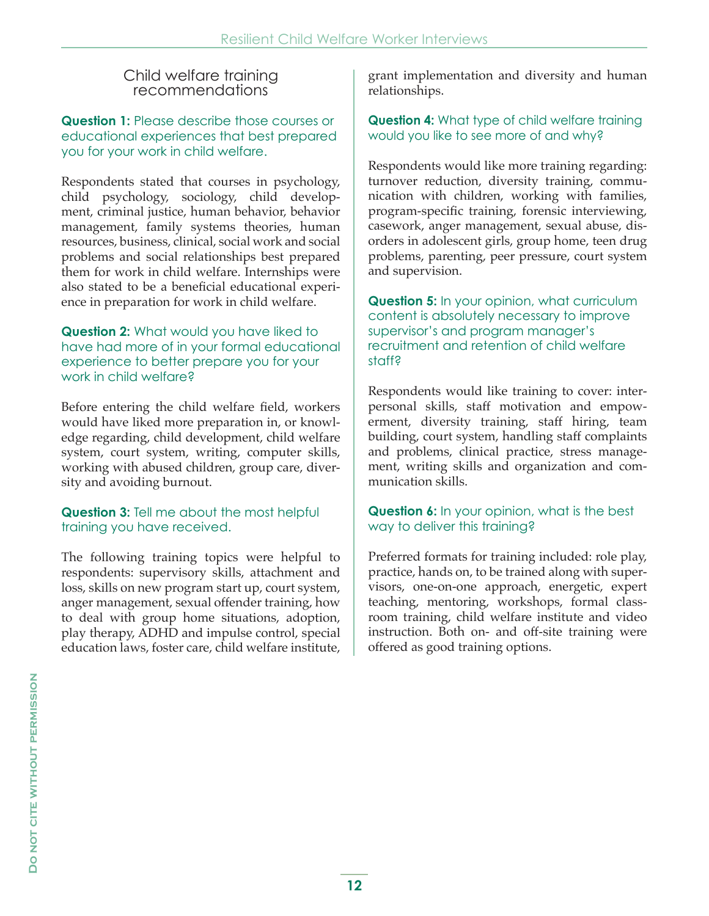### Child welfare training recommendations

**Question 1:** Please describe those courses or educational experiences that best prepared you for your work in child welfare.

Respondents stated that courses in psychology, child psychology, sociology, child development, criminal justice, human behavior, behavior management, family systems theories, human resources, business, clinical, social work and social problems and social relationships best prepared them for work in child welfare. Internships were also stated to be a beneficial educational experience in preparation for work in child welfare.

#### **Question 2:** What would you have liked to have had more of in your formal educational experience to better prepare you for your work in child welfare?

Before entering the child welfare field, workers would have liked more preparation in, or knowledge regarding, child development, child welfare system, court system, writing, computer skills, working with abused children, group care, diversity and avoiding burnout.

#### **Question 3:** Tell me about the most helpful training you have received.

The following training topics were helpful to respondents: supervisory skills, attachment and loss, skills on new program start up, court system, anger management, sexual offender training, how to deal with group home situations, adoption, play therapy, ADHD and impulse control, special education laws, foster care, child welfare institute,

grant implementation and diversity and human relationships.

**Question 4:** What type of child welfare training would you like to see more of and why?

Respondents would like more training regarding: turnover reduction, diversity training, communication with children, working with families, program-specific training, forensic interviewing, casework, anger management, sexual abuse, disorders in adolescent girls, group home, teen drug problems, parenting, peer pressure, court system and supervision.

**Question 5:** In your opinion, what curriculum content is absolutely necessary to improve supervisor's and program manager's recruitment and retention of child welfare staff?

Respondents would like training to cover: interpersonal skills, staff motivation and empowerment, diversity training, staff hiring, team building, court system, handling staff complaints and problems, clinical practice, stress management, writing skills and organization and communication skills.

#### **Question 6:** In your opinion, what is the best way to deliver this training?

Preferred formats for training included: role play, practice, hands on, to be trained along with supervisors, one-on-one approach, energetic, expert teaching, mentoring, workshops, formal classroom training, child welfare institute and video instruction. Both on- and off-site training were offered as good training options.